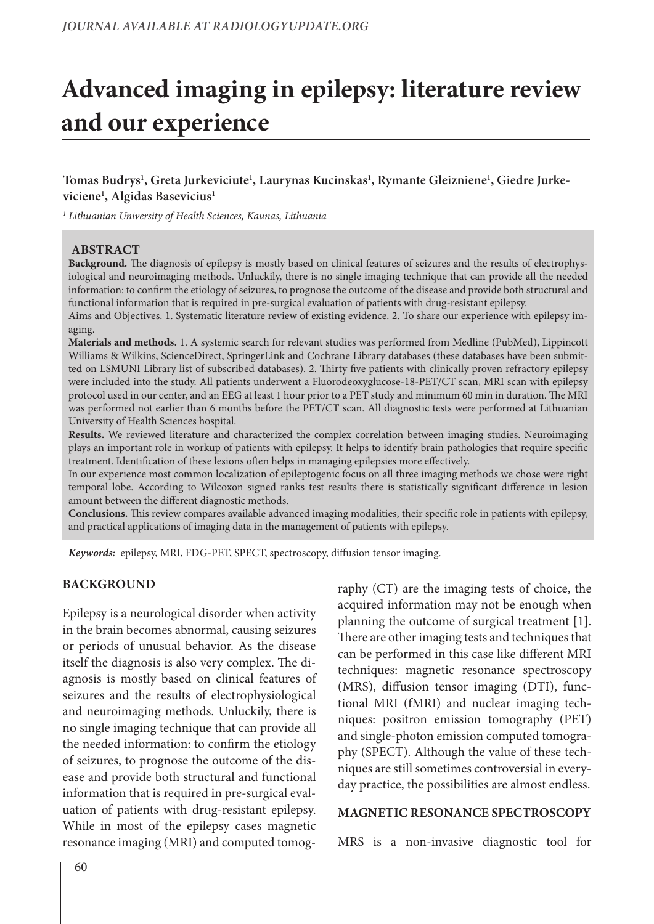# **Advanced imaging in epilepsy: literature review and our experience**

# **Tomas Budrys1 , Greta Jurkeviciute1 , Laurynas Kucinskas1 , Rymante Gleizniene1 , Giedre Jurkeviciene1 , Algidas Basevicius1**

*1 Lithuanian University of Health Sciences, Kaunas, Lithuania*

#### **ABSTRACT**

**Background.** The diagnosis of epilepsy is mostly based on clinical features of seizures and the results of electrophysiological and neuroimaging methods. Unluckily, there is no single imaging technique that can provide all the needed information: to confirm the etiology of seizures, to prognose the outcome of the disease and provide both structural and functional information that is required in pre-surgical evaluation of patients with drug-resistant epilepsy.

Aims and Objectives. 1. Systematic literature review of existing evidence. 2. To share our experience with epilepsy imaging.

**Materials and methods.** 1. A systemic search for relevant studies was performed from Medline (PubMed), Lippincott Williams & Wilkins, ScienceDirect, SpringerLink and Cochrane Library databases (these databases have been submitted on LSMUNI Library list of subscribed databases). 2. Thirty five patients with clinically proven refractory epilepsy were included into the study. All patients underwent a Fluorodeoxyglucose-18-PET/CT scan, MRI scan with epilepsy protocol used in our center, and an EEG at least 1 hour prior to a PET study and minimum 60 min in duration. The MRI was performed not earlier than 6 months before the PET/CT scan. All diagnostic tests were performed at Lithuanian University of Health Sciences hospital.

**Results.** We reviewed literature and characterized the complex correlation between imaging studies. Neuroimaging plays an important role in workup of patients with epilepsy. It helps to identify brain pathologies that require specific treatment. Identification of these lesions often helps in managing epilepsies more effectively.

In our experience most common localization of epileptogenic focus on all three imaging methods we chose were right temporal lobe. According to Wilcoxon signed ranks test results there is statistically significant difference in lesion amount between the different diagnostic methods.

**Conclusions.** This review compares available advanced imaging modalities, their specific role in patients with epilepsy, and practical applications of imaging data in the management of patients with epilepsy.

*Keywords:* epilepsy, MRI, FDG-PET, SPECT, spectroscopy, diffusion tensor imaging.

#### **BACKGROUND**

Epilepsy is a neurological disorder when activity in the brain becomes abnormal, causing seizures or periods of unusual behavior. As the disease itself the diagnosis is also very complex. The diagnosis is mostly based on clinical features of seizures and the results of electrophysiological and neuroimaging methods. Unluckily, there is no single imaging technique that can provide all the needed information: to confirm the etiology of seizures, to prognose the outcome of the disease and provide both structural and functional information that is required in pre-surgical evaluation of patients with drug-resistant epilepsy. While in most of the epilepsy cases magnetic resonance imaging (MRI) and computed tomography (CT) are the imaging tests of choice, the acquired information may not be enough when planning the outcome of surgical treatment [1]. There are other imaging tests and techniques that can be performed in this case like different MRI techniques: magnetic resonance spectroscopy (MRS), diffusion tensor imaging (DTI), functional MRI (fMRI) and nuclear imaging techniques: positron emission tomography (PET) and single-photon emission computed tomography (SPECT). Although the value of these techniques are still sometimes controversial in everyday practice, the possibilities are almost endless.

#### **MAGNETIC RESONANCE SPECTROSCOPY**

MRS is a non-invasive diagnostic tool for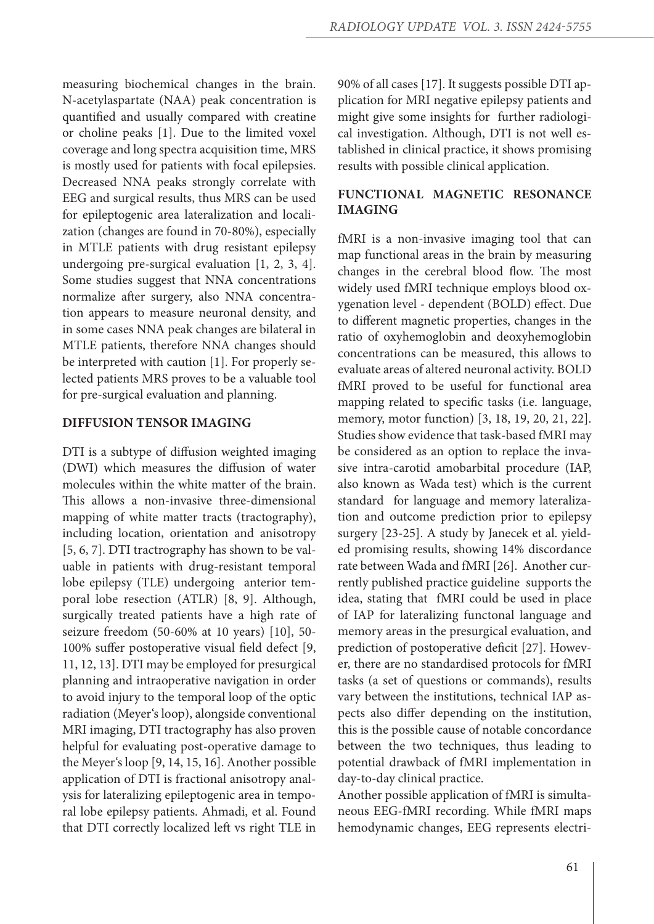measuring biochemical changes in the brain. N-acetylaspartate (NAA) peak concentration is quantified and usually compared with creatine or choline peaks [1]. Due to the limited voxel coverage and long spectra acquisition time, MRS is mostly used for patients with focal epilepsies. Decreased NNA peaks strongly correlate with EEG and surgical results, thus MRS can be used for epileptogenic area lateralization and localization (changes are found in 70-80%), especially in MTLE patients with drug resistant epilepsy undergoing pre-surgical evaluation [1, 2, 3, 4]. Some studies suggest that NNA concentrations normalize after surgery, also NNA concentration appears to measure neuronal density, and in some cases NNA peak changes are bilateral in MTLE patients, therefore NNA changes should be interpreted with caution [1]. For properly selected patients MRS proves to be a valuable tool for pre-surgical evaluation and planning.

#### **DIFFUSION TENSOR IMAGING**

DTI is a subtype of diffusion weighted imaging (DWI) which measures the diffusion of water molecules within the white matter of the brain. This allows a non-invasive three-dimensional mapping of white matter tracts (tractography), including location, orientation and anisotropy [5, 6, 7]. DTI tractrography has shown to be valuable in patients with drug-resistant temporal lobe epilepsy (TLE) undergoing anterior temporal lobe resection (ATLR) [8, 9]. Although, surgically treated patients have a high rate of seizure freedom (50-60% at 10 years) [10], 50- 100% suffer postoperative visual field defect [9, 11, 12, 13]. DTI may be employed for presurgical planning and intraoperative navigation in order to avoid injury to the temporal loop of the optic radiation (Meyer's loop), alongside conventional MRI imaging, DTI tractography has also proven helpful for evaluating post-operative damage to the Meyer's loop [9, 14, 15, 16]. Another possible application of DTI is fractional anisotropy analysis for lateralizing epileptogenic area in temporal lobe epilepsy patients. Ahmadi, et al. Found that DTI correctly localized left vs right TLE in

90% of all cases [17]. It suggests possible DTI application for MRI negative epilepsy patients and might give some insights for further radiological investigation. Although, DTI is not well established in clinical practice, it shows promising results with possible clinical application.

## **FUNCTIONAL MAGNETIC RESONANCE IMAGING**

fMRI is a non-invasive imaging tool that can map functional areas in the brain by measuring changes in the cerebral blood flow. The most widely used fMRI technique employs blood oxygenation level - dependent (BOLD) effect. Due to different magnetic properties, changes in the ratio of oxyhemoglobin and deoxyhemoglobin concentrations can be measured, this allows to evaluate areas of altered neuronal activity. BOLD fMRI proved to be useful for functional area mapping related to specific tasks (i.e. language, memory, motor function) [3, 18, 19, 20, 21, 22]. Studies show evidence that task-based fMRI may be considered as an option to replace the invasive intra-carotid amobarbital procedure (IAP, also known as Wada test) which is the current standard for language and memory lateralization and outcome prediction prior to epilepsy surgery [23-25]. A study by Janecek et al. yielded promising results, showing 14% discordance rate between Wada and fMRI [26]. Another currently published practice guideline supports the idea, stating that fMRI could be used in place of IAP for lateralizing functonal language and memory areas in the presurgical evaluation, and prediction of postoperative deficit [27]. However, there are no standardised protocols for fMRI tasks (a set of questions or commands), results vary between the institutions, technical IAP aspects also differ depending on the institution, this is the possible cause of notable concordance between the two techniques, thus leading to potential drawback of fMRI implementation in day-to-day clinical practice.

Another possible application of fMRI is simultaneous EEG-fMRI recording. While fMRI maps hemodynamic changes, EEG represents electri-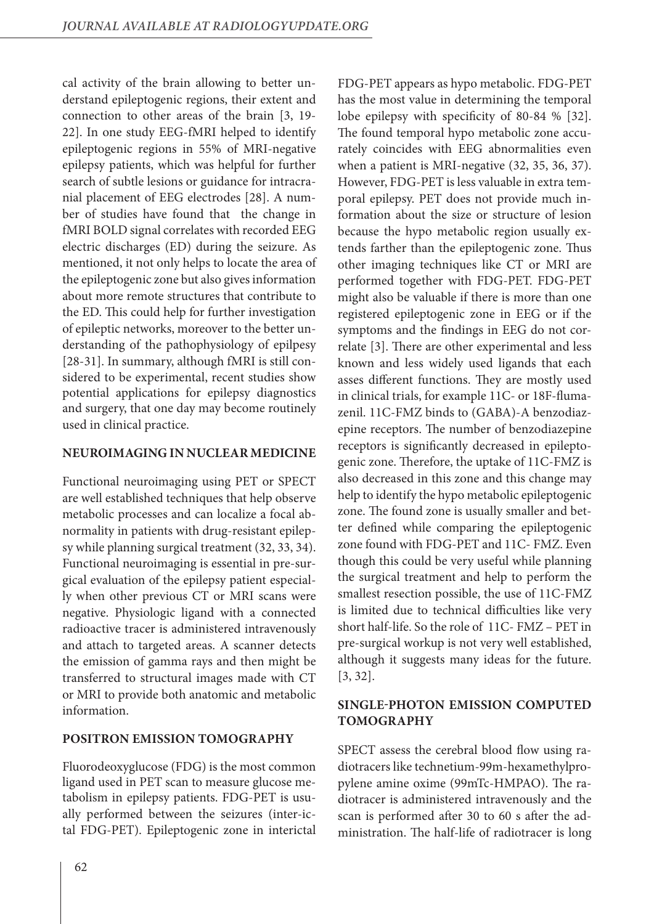cal activity of the brain allowing to better understand epileptogenic regions, their extent and connection to other areas of the brain [3, 19- 22]. In one study EEG-fMRI helped to identify epileptogenic regions in 55% of MRI-negative epilepsy patients, which was helpful for further search of subtle lesions or guidance for intracranial placement of EEG electrodes [28]. A number of studies have found that the change in fMRI BOLD signal correlates with recorded EEG electric discharges (ED) during the seizure. As mentioned, it not only helps to locate the area of the epileptogenic zone but also gives information about more remote structures that contribute to the ED. This could help for further investigation of epileptic networks, moreover to the better understanding of the pathophysiology of epilpesy [28-31]. In summary, although fMRI is still considered to be experimental, recent studies show potential applications for epilepsy diagnostics and surgery, that one day may become routinely used in clinical practice.

## **NEUROIMAGING IN NUCLEAR MEDICINE**

Functional neuroimaging using PET or SPECT are well established techniques that help observe metabolic processes and can localize a focal abnormality in patients with drug-resistant epilepsy while planning surgical treatment (32, 33, 34). Functional neuroimaging is essential in pre-surgical evaluation of the epilepsy patient especially when other previous CT or MRI scans were negative. Physiologic ligand with a connected radioactive tracer is administered intravenously and attach to targeted areas. A scanner detects the emission of gamma rays and then might be transferred to structural images made with CT or MRI to provide both anatomic and metabolic information.

## **POSITRON EMISSION TOMOGRAPHY**

Fluorodeoxyglucose (FDG) is the most common ligand used in PET scan to measure glucose metabolism in epilepsy patients. FDG-PET is usually performed between the seizures (inter-ictal FDG-PET). Epileptogenic zone in interictal FDG-PET appears as hypo metabolic. FDG-PET has the most value in determining the temporal lobe epilepsy with specificity of 80-84 % [32]. The found temporal hypo metabolic zone accurately coincides with EEG abnormalities even when a patient is MRI-negative (32, 35, 36, 37). However, FDG-PET is less valuable in extra temporal epilepsy. PET does not provide much information about the size or structure of lesion because the hypo metabolic region usually extends farther than the epileptogenic zone. Thus other imaging techniques like CT or MRI are performed together with FDG-PET. FDG-PET might also be valuable if there is more than one registered epileptogenic zone in EEG or if the symptoms and the findings in EEG do not correlate [3]. There are other experimental and less known and less widely used ligands that each asses different functions. They are mostly used in clinical trials, for example 11C- or 18F-flumazenil. 11C-FMZ binds to (GABA)-A benzodiazepine receptors. The number of benzodiazepine receptors is significantly decreased in epileptogenic zone. Therefore, the uptake of 11C-FMZ is also decreased in this zone and this change may help to identify the hypo metabolic epileptogenic zone. The found zone is usually smaller and better defined while comparing the epileptogenic zone found with FDG-PET and 11C- FMZ. Even though this could be very useful while planning the surgical treatment and help to perform the smallest resection possible, the use of 11C-FMZ is limited due to technical difficulties like very short half-life. So the role of 11C- FMZ – PET in pre-surgical workup is not very well established, although it suggests many ideas for the future. [3, 32].

# **SINGLE-PHOTON EMISSION COMPUTED TOMOGRAPHY**

SPECT assess the cerebral blood flow using radiotracers like technetium-99m-hexamethylpropylene amine oxime (99mTc-HMPAO). The radiotracer is administered intravenously and the scan is performed after 30 to 60 s after the administration. The half-life of radiotracer is long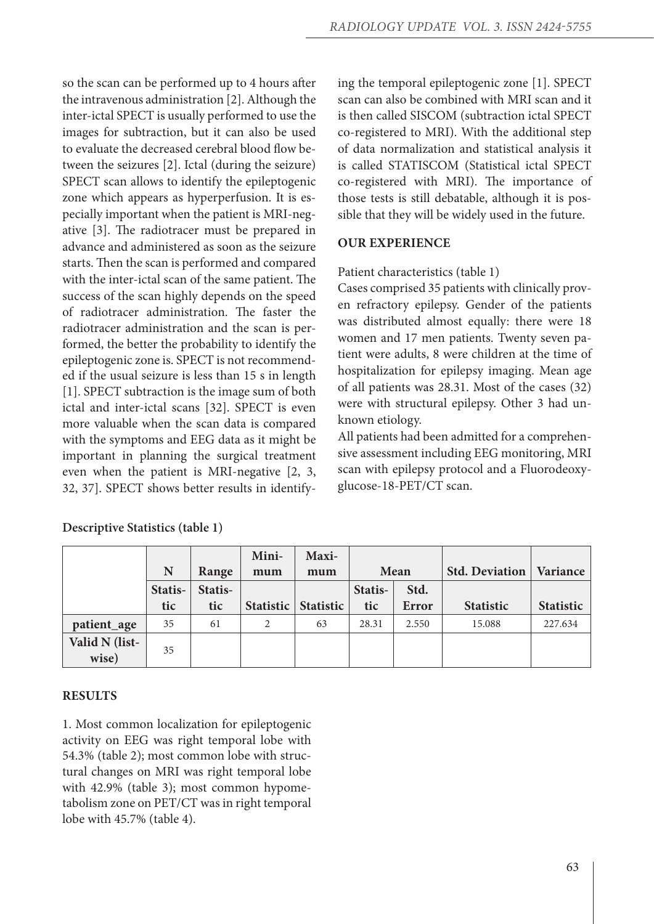so the scan can be performed up to 4 hours after the intravenous administration [2]. Although the inter-ictal SPECT is usually performed to use the images for subtraction, but it can also be used to evaluate the decreased cerebral blood flow between the seizures [2]. Ictal (during the seizure) SPECT scan allows to identify the epileptogenic zone which appears as hyperperfusion. It is especially important when the patient is MRI-negative [3]. The radiotracer must be prepared in advance and administered as soon as the seizure starts. Then the scan is performed and compared with the inter-ictal scan of the same patient. The success of the scan highly depends on the speed of radiotracer administration. The faster the radiotracer administration and the scan is performed, the better the probability to identify the epileptogenic zone is. SPECT is not recommended if the usual seizure is less than 15 s in length [1]. SPECT subtraction is the image sum of both ictal and inter-ictal scans [32]. SPECT is even more valuable when the scan data is compared with the symptoms and EEG data as it might be important in planning the surgical treatment even when the patient is MRI-negative [2, 3, 32, 37]. SPECT shows better results in identifying the temporal epileptogenic zone [1]. SPECT scan can also be combined with MRI scan and it is then called SISCOM (subtraction ictal SPECT co-registered to MRI). With the additional step of data normalization and statistical analysis it is called STATISCOM (Statistical ictal SPECT co-registered with MRI). The importance of those tests is still debatable, although it is possible that they will be widely used in the future.

# **OUR EXPERIENCE**

## Patient characteristics (table 1)

Cases comprised 35 patients with clinically proven refractory epilepsy. Gender of the patients was distributed almost equally: there were 18 women and 17 men patients. Twenty seven patient were adults, 8 were children at the time of hospitalization for epilepsy imaging. Mean age of all patients was 28.31. Most of the cases (32) were with structural epilepsy. Other 3 had unknown etiology.

All patients had been admitted for a comprehensive assessment including EEG monitoring, MRI scan with epilepsy protocol and a Fluorodeoxyglucose-18-PET/CT scan.

|                |         |         | Mini-            | Maxi-            |         |              |                       |                  |
|----------------|---------|---------|------------------|------------------|---------|--------------|-----------------------|------------------|
|                | N       | Range   | mum              | mum              |         | Mean         | <b>Std. Deviation</b> | Variance         |
|                | Statis- | Statis- |                  |                  | Statis- | Std.         |                       |                  |
|                | tic     | tic     | <b>Statistic</b> | <b>Statistic</b> | tic     | <b>Error</b> | <b>Statistic</b>      | <b>Statistic</b> |
| patient_age    | 35      | 61      | 2                | 63               | 28.31   | 2.550        | 15.088                | 227.634          |
| Valid N (list- | 35      |         |                  |                  |         |              |                       |                  |
| wise)          |         |         |                  |                  |         |              |                       |                  |

**Descriptive Statistics (table 1)**

# **Results**

1. Most common localization for epileptogenic activity on EEG was right temporal lobe with 54.3% (table 2); most common lobe with structural changes on MRI was right temporal lobe with 42.9% (table 3); most common hypometabolism zone on PET/CT was in right temporal lobe with 45.7% (table 4).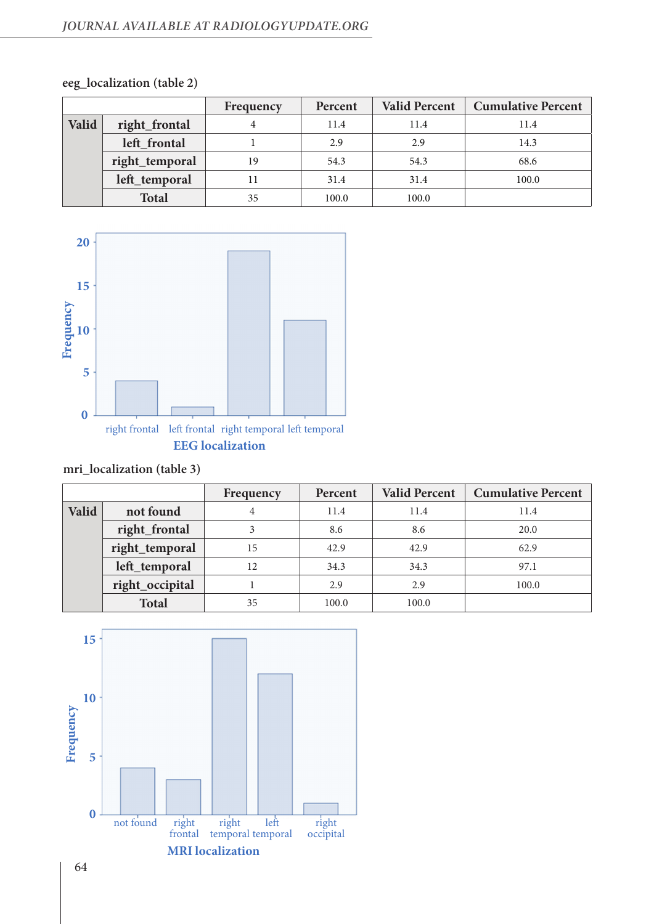## *JOURNAL available at radiologyupdate.org*

|       |                | Frequency | Percent | <b>Valid Percent</b> | <b>Cumulative Percent</b> |
|-------|----------------|-----------|---------|----------------------|---------------------------|
| Valid | right_frontal  |           | 11.4    | 11.4                 | 11.4                      |
|       | left_frontal   |           | 2.9     | 2.9                  | 14.3                      |
|       | right_temporal | 19        | 54.3    | 54.3                 | 68.6                      |
|       | left_temporal  |           | 31.4    | 31.4                 | 100.0                     |
|       | <b>Total</b>   | 35        | 100.0   | 100.0                |                           |

# **eeg\_localization (table 2)**



# **mri\_localization (table 3)**

|       |                 | Frequency | Percent | <b>Valid Percent</b> | <b>Cumulative Percent</b> |
|-------|-----------------|-----------|---------|----------------------|---------------------------|
| Valid | not found       | 4         | 11.4    | 11.4                 | 11.4                      |
|       | right_frontal   | 3         | 8.6     | 8.6                  | 20.0                      |
|       | right_temporal  | 15        | 42.9    | 42.9                 | 62.9                      |
|       | left_temporal   | 12        | 34.3    | 34.3                 | 97.1                      |
|       | right_occipital |           | 2.9     | 2.9                  | 100.0                     |
|       | <b>Total</b>    | 35        | 100.0   | 100.0                |                           |

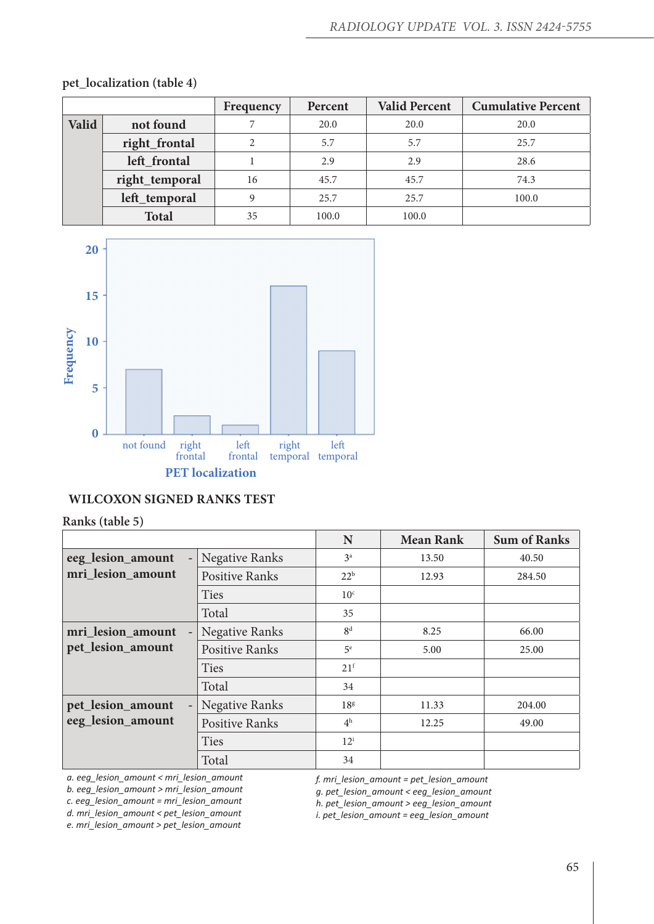|       |                | Frequency                   | Percent | <b>Valid Percent</b> | <b>Cumulative Percent</b> |
|-------|----------------|-----------------------------|---------|----------------------|---------------------------|
| Valid | not found      |                             | 20.0    | 20.0                 | 20.0                      |
|       | right_frontal  | $\mathcal{D}_{\mathcal{L}}$ | 5.7     | 5.7                  | 25.7                      |
|       | left_frontal   |                             | 2.9     | 2.9                  | 28.6                      |
|       | right_temporal | 16                          | 45.7    | 45.7                 | 74.3                      |
|       | left_temporal  | 9                           | 25.7    | 25.7                 | 100.0                     |
|       | <b>Total</b>   | 35                          | 100.0   | 100.0                |                           |

**pet\_localization (table 4)**



# **Wilcoxon Signed Ranks Test**

#### **Ranks (table 5)**

|                                               |                       | N               | <b>Mean Rank</b> | <b>Sum of Ranks</b> |
|-----------------------------------------------|-----------------------|-----------------|------------------|---------------------|
| eeg_lesion_amount<br>$\overline{\phantom{a}}$ | <b>Negative Ranks</b> | 3 <sup>a</sup>  | 13.50            | 40.50               |
| mri_lesion_amount                             | <b>Positive Ranks</b> | 22 <sup>b</sup> | 12.93            | 284.50              |
|                                               | <b>Ties</b>           | 10 <sup>c</sup> |                  |                     |
|                                               | Total                 | 35              |                  |                     |
| mri_lesion_amount<br>$\qquad \qquad -$        | <b>Negative Ranks</b> | 8 <sup>d</sup>  | 8.25             | 66.00               |
| pet_lesion_amount                             | <b>Positive Ranks</b> | 5 <sup>e</sup>  | 5.00             | 25.00               |
|                                               | <b>Ties</b>           | 21 <sup>f</sup> |                  |                     |
|                                               | Total                 | 34              |                  |                     |
| pet_lesion_amount<br>$\overline{\phantom{a}}$ | <b>Negative Ranks</b> | 18 <sup>g</sup> | 11.33            | 204.00              |
| eeg_lesion_amount                             | <b>Positive Ranks</b> | 4 <sup>h</sup>  | 12.25            | 49.00               |
|                                               | <b>Ties</b>           | $12^{\rm i}$    |                  |                     |
|                                               | Total                 | 34              |                  |                     |

*a. eeg\_lesion\_amount < mri\_lesion\_amount b. eeg\_lesion\_amount > mri\_lesion\_amount c. eeg\_lesion\_amount = mri\_lesion\_amount d. mri\_lesion\_amount < pet\_lesion\_amount e. mri\_lesion\_amount > pet\_lesion\_amount*

*f. mri\_lesion\_amount = pet\_lesion\_amount*

*g. pet\_lesion\_amount < eeg\_lesion\_amount*

*h. pet\_lesion\_amount > eeg\_lesion\_amount*

*i. pet\_lesion\_amount = eeg\_lesion\_amount*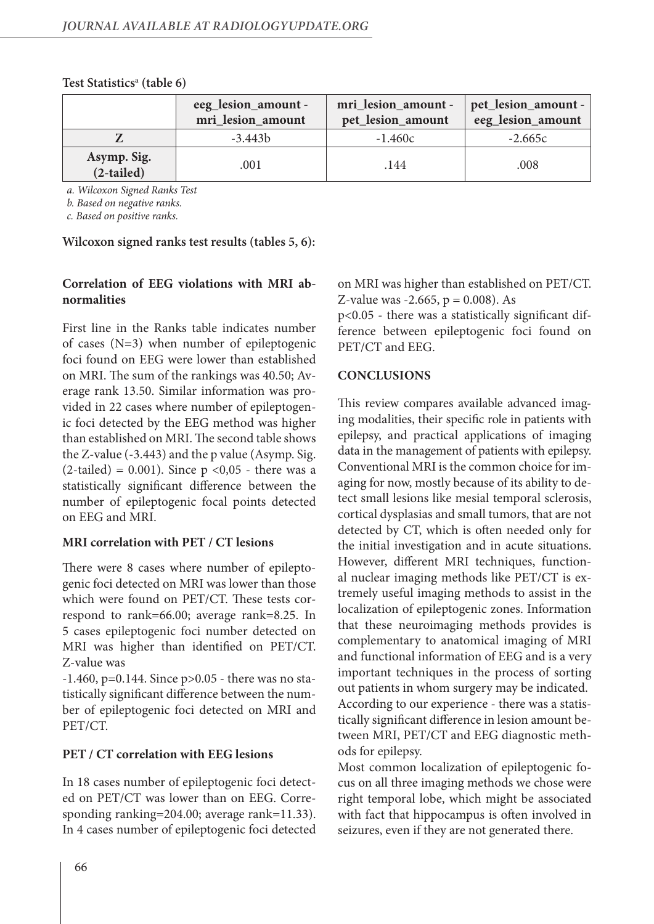|                             | eeg_lesion_amount -<br>mri_lesion_amount | mri_lesion_amount -   pet_lesion_amount -<br>pet_lesion_amount | eeg_lesion_amount |
|-----------------------------|------------------------------------------|----------------------------------------------------------------|-------------------|
|                             | $-3.443b$                                | $-1.460c$                                                      | $-2.665c$         |
| Asymp. Sig.<br>$(2-tailed)$ | .001                                     | .144                                                           | .008              |

#### **Test Statisticsa (table 6)**

*a. Wilcoxon Signed Ranks Test*

*b. Based on negative ranks.*

*c. Based on positive ranks.*

**Wilcoxon signed ranks test results (tables 5, 6):**

# **Correlation of EEG violations with MRI abnormalities**

First line in the Ranks table indicates number of cases (N=3) when number of epileptogenic foci found on EEG were lower than established on MRI. The sum of the rankings was 40.50; Average rank 13.50. Similar information was provided in 22 cases where number of epileptogenic foci detected by the EEG method was higher than established on MRI. The second table shows the Z-value (-3.443) and the p value (Asymp. Sig.  $(2-tailed) = 0.001$ . Since  $p < 0.05$  - there was a statistically significant difference between the number of epileptogenic focal points detected on EEG and MRI.

## **MRI correlation with PET / CT lesions**

There were 8 cases where number of epileptogenic foci detected on MRI was lower than those which were found on PET/CT. These tests correspond to rank=66.00; average rank=8.25. In 5 cases epileptogenic foci number detected on MRI was higher than identified on PET/CT. Z-value was

-1.460, p=0.144. Since p>0.05 - there was no statistically significant difference between the number of epileptogenic foci detected on MRI and PET/CT.

## **PET / CT correlation with EEG lesions**

In 18 cases number of epileptogenic foci detected on PET/CT was lower than on EEG. Corresponding ranking=204.00; average rank=11.33). In 4 cases number of epileptogenic foci detected

on MRI was higher than established on PET/CT. Z-value was  $-2.665$ ,  $p = 0.008$ ). As

p<0.05 - there was a statistically significant difference between epileptogenic foci found on PET/CT and EEG.

#### **CONCLUSIONS**

This review compares available advanced imaging modalities, their specific role in patients with epilepsy, and practical applications of imaging data in the management of patients with epilepsy. Conventional MRI is the common choice for imaging for now, mostly because of its ability to detect small lesions like mesial temporal sclerosis, cortical dysplasias and small tumors, that are not detected by CT, which is often needed only for the initial investigation and in acute situations. However, different MRI techniques, functional nuclear imaging methods like PET/CT is extremely useful imaging methods to assist in the localization of epileptogenic zones. Information that these neuroimaging methods provides is complementary to anatomical imaging of MRI and functional information of EEG and is a very important techniques in the process of sorting out patients in whom surgery may be indicated. According to our experience - there was a statistically significant difference in lesion amount between MRI, PET/CT and EEG diagnostic methods for epilepsy.

Most common localization of epileptogenic focus on all three imaging methods we chose were right temporal lobe, which might be associated with fact that hippocampus is often involved in seizures, even if they are not generated there.